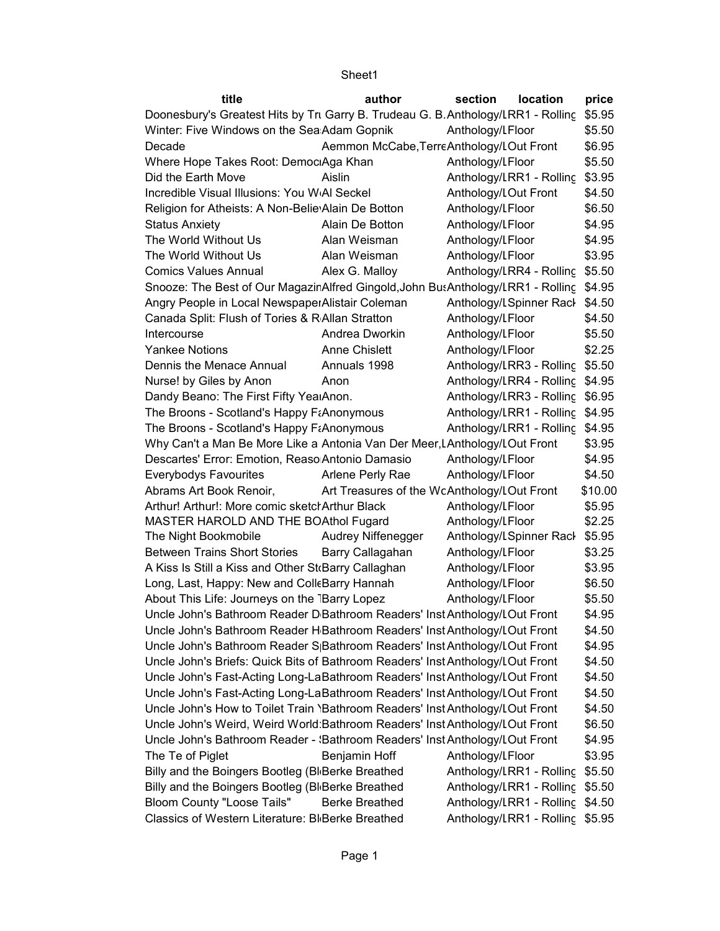| title                                                                                   | author                                      | section              | location                        | price   |
|-----------------------------------------------------------------------------------------|---------------------------------------------|----------------------|---------------------------------|---------|
| Doonesbury's Greatest Hits by Tri Garry B. Trudeau G. B. Anthology/LRR1 - Rolling       |                                             |                      |                                 | \$5.95  |
| Winter: Five Windows on the Sea Adam Gopnik                                             |                                             | Anthology/LFloor     |                                 | \$5.50  |
| Decade                                                                                  | Aemmon McCabe, TerreAnthology/LOut Front    |                      |                                 | \$6.95  |
| Where Hope Takes Root: Democ Aga Khan                                                   |                                             | Anthology/LFloor     |                                 | \$5.50  |
| Did the Earth Move                                                                      | Aislin                                      |                      | Anthology/LRR1 - Rolling        | \$3.95  |
| Incredible Visual Illusions: You WAI Seckel                                             |                                             | Anthology/LOut Front |                                 | \$4.50  |
| Religion for Atheists: A Non-Belie Alain De Botton                                      |                                             | Anthology/LFloor     |                                 | \$6.50  |
| <b>Status Anxiety</b>                                                                   | Alain De Botton                             | Anthology/LFloor     |                                 | \$4.95  |
| The World Without Us                                                                    | Alan Weisman                                | Anthology/LFloor     |                                 | \$4.95  |
| The World Without Us                                                                    | Alan Weisman                                | Anthology/LFloor     |                                 | \$3.95  |
| <b>Comics Values Annual</b>                                                             | Alex G. Malloy                              |                      | Anthology/LRR4 - Rolling \$5.50 |         |
| Snooze: The Best of Our MagazinAlfred Gingold, John BusAnthology/LRR1 - Rolling \$4.95  |                                             |                      |                                 |         |
| Angry People in Local NewspaperAlistair Coleman                                         |                                             |                      | Anthology/LSpinner Rack \$4.50  |         |
| Canada Split: Flush of Tories & RAllan Stratton                                         |                                             | Anthology/LFloor     |                                 | \$4.50  |
| Intercourse                                                                             | Andrea Dworkin                              | Anthology/LFloor     |                                 | \$5.50  |
| <b>Yankee Notions</b>                                                                   | <b>Anne Chislett</b>                        | Anthology/LFloor     |                                 | \$2.25  |
| Dennis the Menace Annual                                                                | Annuals 1998                                |                      | Anthology/LRR3 - Rolling \$5.50 |         |
| Nurse! by Giles by Anon                                                                 | Anon                                        |                      | Anthology/LRR4 - Rolling \$4.95 |         |
| Dandy Beano: The First Fifty YealAnon.                                                  |                                             |                      | Anthology/LRR3 - Rolling \$6.95 |         |
| The Broons - Scotland's Happy F&Anonymous                                               |                                             |                      | Anthology/LRR1 - Rolling \$4.95 |         |
| The Broons - Scotland's Happy F&Anonymous                                               |                                             |                      | Anthology/LRR1 - Rolling \$4.95 |         |
| Why Can't a Man Be More Like a Antonia Van Der Meer, LAnthology/LOut Front              |                                             |                      |                                 | \$3.95  |
| Descartes' Error: Emotion, Reaso Antonio Damasio                                        |                                             | Anthology/LFloor     |                                 | \$4.95  |
| <b>Everybodys Favourites</b>                                                            | Arlene Perly Rae                            | Anthology/LFloor     |                                 | \$4.50  |
| Abrams Art Book Renoir,                                                                 | Art Treasures of the WcAnthology/LOut Front |                      |                                 | \$10.00 |
| Arthur! Arthur!: More comic sketch Arthur Black                                         |                                             | Anthology/LFloor     |                                 | \$5.95  |
| MASTER HAROLD AND THE BOAthol Fugard                                                    |                                             | Anthology/LFloor     |                                 | \$2.25  |
| The Night Bookmobile                                                                    | Audrey Niffenegger                          |                      | Anthology/LSpinner Rack         | \$5.95  |
| <b>Between Trains Short Stories</b>                                                     | Barry Callagahan                            | Anthology/LFloor     |                                 | \$3.25  |
| A Kiss Is Still a Kiss and Other St Barry Callaghan                                     |                                             | Anthology/LFloor     |                                 | \$3.95  |
| Long, Last, Happy: New and ColleBarry Hannah                                            |                                             | Anthology/LFloor     |                                 | \$6.50  |
| About This Life: Journeys on the IBarry Lopez                                           |                                             | Anthology/LFloor     |                                 | \$5.50  |
| Uncle John's Bathroom Reader D Bathroom Readers' Inst Anthology/LOut Front              |                                             |                      |                                 | \$4.95  |
| Uncle John's Bathroom Reader H Bathroom Readers' Inst Anthology/LOut Front              |                                             |                      |                                 | \$4.50  |
| Uncle John's Bathroom Reader S <sub>I</sub> Bathroom Readers' Inst Anthology/LOut Front |                                             |                      |                                 | \$4.95  |
| Uncle John's Briefs: Quick Bits of Bathroom Readers' Inst Anthology/LOut Front          |                                             |                      |                                 | \$4.50  |
| Uncle John's Fast-Acting Long-LaBathroom Readers' Inst Anthology/LOut Front             |                                             |                      |                                 | \$4.50  |
| Uncle John's Fast-Acting Long-LaBathroom Readers' Inst Anthology/LOut Front             |                                             |                      |                                 | \$4.50  |
| Uncle John's How to Toilet Train \Bathroom Readers' Inst Anthology/LOut Front           |                                             |                      |                                 | \$4.50  |
| Uncle John's Weird, Weird World: Bathroom Readers' Inst Anthology/LOut Front            |                                             |                      |                                 | \$6.50  |
| Uncle John's Bathroom Reader - 'Bathroom Readers' Inst Anthology/LOut Front             |                                             |                      |                                 | \$4.95  |
| The Te of Piglet                                                                        | Benjamin Hoff                               | Anthology/LFloor     |                                 | \$3.95  |
| Billy and the Boingers Bootleg (Bl Berke Breathed                                       |                                             |                      | Anthology/LRR1 - Rolling        | \$5.50  |
| Billy and the Boingers Bootleg (Bl Berke Breathed                                       |                                             |                      | Anthology/LRR1 - Rolling        | \$5.50  |
| Bloom County "Loose Tails"                                                              | <b>Berke Breathed</b>                       |                      | Anthology/LRR1 - Rolling        | \$4.50  |
| Classics of Western Literature: BI Berke Breathed                                       |                                             |                      | Anthology/LRR1 - Rolling        | \$5.95  |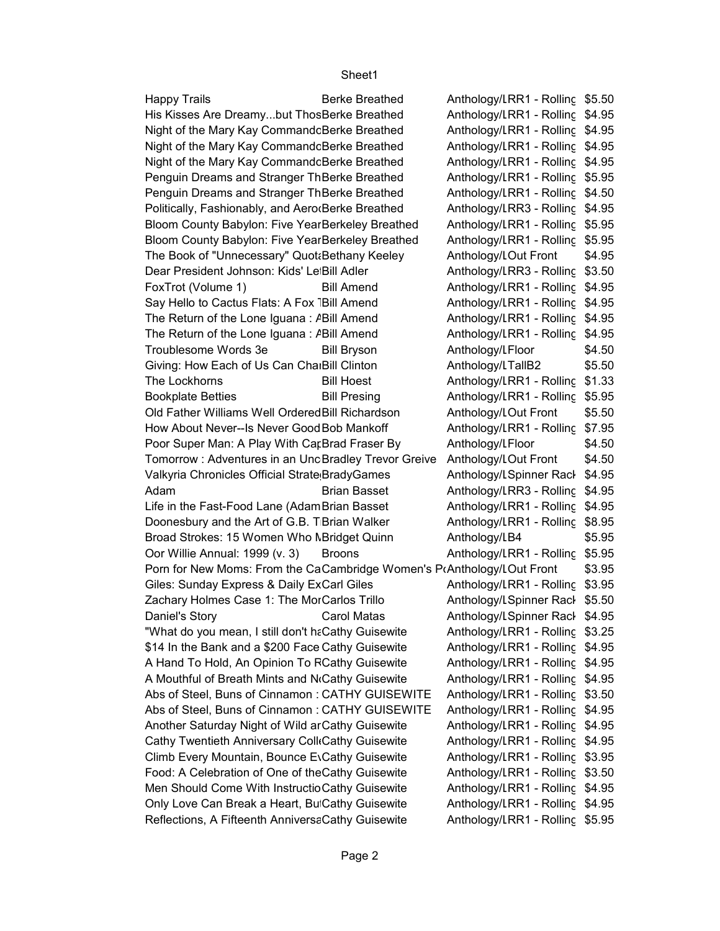Happy Trails **Berke Breathed** Anthology/LRR1 - Rolling \$5.50 FoxTrot (Volume 1) Bill Amend Anthology/LRR1 - Rolling \$4.95 The Lockhorns Bill Hoest Anthology/LRR1 - Rolling \$1.33 Bookplate Betties Bill Presing Anthology/LRR1 - Rolling \$5.95 \$4.95 Adam Brian Basset Anthology/Literature RR3 - Rolling Rack Side 3 Oor Willie Annual: 1999 (v. 3) Broons Anthology/LRR1 - Rolling \$5.95 Daniel's Story **Carol Matas** Anthology/LSpinner Rack \$4.95 His Kisses Are Dreamy...but ThosBerke Breathed Night of the Mary Kay Commandc Berke Breathed Night of the Mary Kay Commandc Berke Breathed Night of the Mary Kay Commandc Berke Breathed Penguin Dreams and Stranger ThBerke Breathed Penguin Dreams and Stranger ThBerke Breathed Politically, Fashionably, and Aero(Berke Breathed Bloom County Babylon: Five YearBerkeley Breathed Bloom County Babylon: Five YearBerkeley Breathed The Book of "Unnecessary" Quotabethany Keeley Anthology/LOut Front Dear President Johnson: Kids' LetBill Adler Say Hello to Cactus Flats: A Fox <sup>-</sup>Bill Amend The Return of the Lone Iguana : A Bill Amend The Return of the Lone Iguana :  $P$ Bill Amend Troublesome Words 3e Bill Bryson Anthology/LFloor Giving: How Each of Us Can CharBill Clinton Old Father Williams Well Ordered Bill Richardson Anthology/LOut Front How About Never--Is Never Good Bob Mankoff Poor Super Man: A Play With CarBrad Fraser By Anthology/LFloor Tomorrow : Adventures in an UncBradley Trevor Greive Anthology/LOut Front Valkyria Chronicles Official Strate BradyGames Life in the Fast-Food Lane (Adam Brian Basset Doonesbury and the Art of G.B. T Brian Walker Broad Strokes: 15 Women Who NBridget Quinn Porn for New Moms: From the CaCambridge Women's PrAnthology/LOut Front Giles: Sunday Express & Daily ExCarl Giles Zachary Holmes Case 1: The MorCarlos Trillo "What do you mean, I still don't haCathy Guisewite \$14 In the Bank and a \$200 Face Cathy Guisewite A Hand To Hold, An Opinion To RCathy Guisewite A Mouthful of Breath Mints and NoCathy Guisewite Abs of Steel, Buns of Cinnamon : CATHY GUISEWITE Abs of Steel, Buns of Cinnamon : CATHY GUISEWITE Another Saturday Night of Wild ar Cathy Guisewite Cathy Twentieth Anniversary ColleCathy Guisewite Climb Every Mountain, Bounce EvCathy Guisewite Food: A Celebration of One of the Cathy Guisewite Men Should Come With Instructio Cathy Guisewite Only Love Can Break a Heart, But Cathy Guisewite Reflections, A Fifteenth AnniversaCathy Guisewite

Anthology/LRR1 - Rolling \$4.95 Anthology/LRR1 - Rolling \$4.95 Anthology/LRR1 - Rolling \$4.95 Anthology/LRR1 - Rolling \$4.95 Anthology/LRR1 - Rolling \$5.95 Anthology/LRR1 - Rolling \$4.50 Anthology/LRR3 - Rolling \$4.95 Anthology/LRR1 - Rolling \$5.95 Anthology/LRR1 - Rolling \$5.95 \$4.95 Anthology/LRR3 - Rolling \$3.50 Anthology/LRR1 - Rolling \$4.95 Anthology/LRR1 - Rolling \$4.95 Anthology/LRR1 - Rolling \$4.95 \$4.50 Anthology/LTallB2 \$5.50 \$5.50 Anthology/LRR1 - Rolling \$7.95 \$4.50 \$4.50 Anthology/LSpinner Rack \$4.95 Anthology/LRR1 - Rolling \$4.95 Anthology/LRR1 - Rolling \$8.95 Anthology/LB4 \$5.95 \$3.95 Anthology/LRR1 - Rolling \$3.95 Anthology/LSpinner Rack \$5.50 Anthology/LRR1 - Rolling \$3.25 Anthology/LRR1 - Rolling \$4.95 Anthology/LRR1 - Rolling \$4.95 Anthology/LRR1 - Rolling \$4.95 Anthology/LRR1 - Rolling \$3.50 Anthology/LRR1 - Rolling \$4.95 Anthology/LRR1 - Rolling \$4.95 Anthology/LRR1 - Rolling \$4.95 Anthology/LRR1 - Rolling \$3.95 Anthology/LRR1 - Rolling \$3.50 Anthology/LRR1 - Rolling \$4.95 Anthology/LRR1 - Rolling \$4.95 Anthology/LRR1 - Rolling \$5.95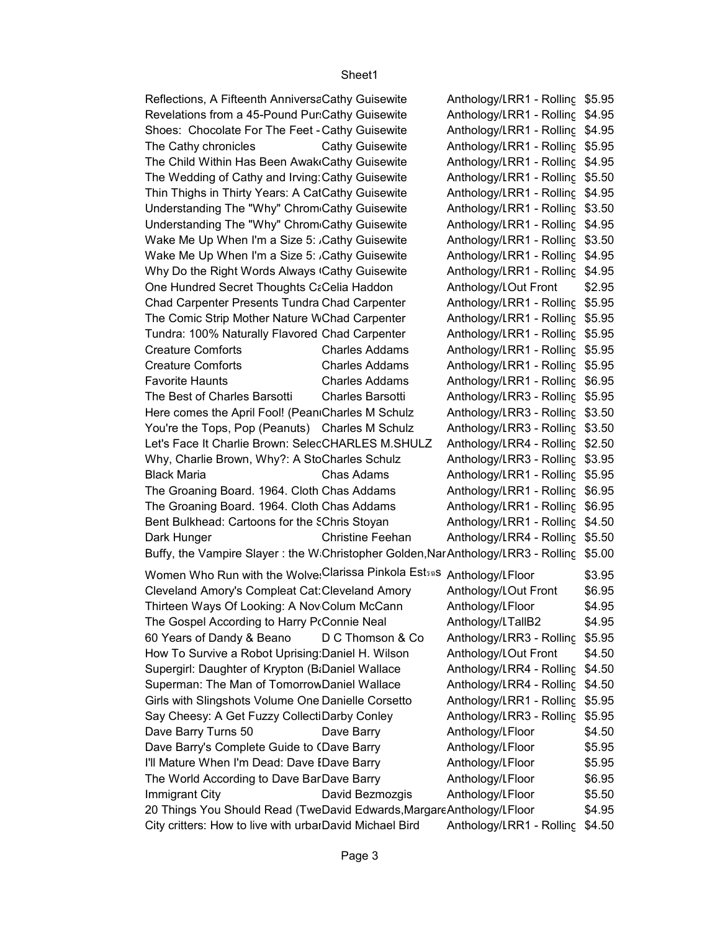Anthology/LRR1 - Rolling \$5.95 Anthology/LRR1 - Rolling \$4.95 Anthology/LRR1 - Rolling \$4.95 The Cathy chronicles Cathy Guisewite Anthology/LRR1 - Rolling \$5.95 Anthology/LRR1 - Rolling \$4.95 Anthology/LRR1 - Rolling \$5.50 Anthology/LRR1 - Rolling \$4.95 Anthology/LRR1 - Rolling \$3.50 Anthology/LRR1 - Rolling \$4.95 Anthology/LRR1 - Rolling \$3.50 Anthology/LRR1 - Rolling \$4.95 Anthology/LRR1 - Rolling \$4.95 \$2.95 Anthology/LRR1 - Rolling \$5.95 Anthology/LRR1 - Rolling \$5.95 Anthology/LRR1 - Rolling \$5.95 Creature Comforts **Charles Addams** Anthology/LRR1 - Rolling \$5.95 Creature Comforts **Charles Addams** Anthology/LRR1 - Rolling \$5.95 Favorite Haunts **Charles Addams** Anthology/LRR1 - Rolling \$6.95 The Best of Charles Barsotti Charles Barsotti Anthology/LRR3 - Rolling \$5.95 Anthology/LRR3 - Rolling \$3.50 Anthology/LRR3 - Rolling \$3.50 Anthology/LRR4 - Rolling \$2.50 Anthology/LRR3 - Rolling \$3.95 \$5.95 Black Maria Chas Adams Anthology/Literature RR1 - Rolling Rack Side 1 Anthology/LRR1 - Rolling \$6.95 Anthology/LRR1 - Rolling \$6.95 Anthology/LRR1 - Rolling \$4.50 \$5.50 Dark Hunger Christine Feehan Anthology/Literature RR4 - Rolling Rack Side 4 Buffy, the Vampire Slayer : the W Christopher Golden,NarAnthology/LRR3 - Rolling \$5.00 \$3.95 \$6.95 \$4.95 Anthology/LTallB2 \$4.95 60 Years of Dandy & Beano D C Thomson & Co Anthology/LRR3 - Rolling \$5.95 \$4.50 Anthology/LRR4 - Rolling \$4.50 Anthology/LRR4 - Rolling \$4.50 Anthology/LRR1 - Rolling \$5.95 Anthology/LRR3 - Rolling \$5.95 \$4.50 \$5.95 \$5.95 \$6.95 \$5.50 \$4.95 Reflections, A Fifteenth AnniversaCathy Guisewite Revelations from a 45-Pound Pur: Cathy Guisewite Shoes: Chocolate For The Feet - Cathy Guisewite The Child Within Has Been Awak Cathy Guisewite The Wedding of Cathy and Irving: Cathy Guisewite Thin Thighs in Thirty Years: A CatCathy Guisewite Understanding The "Why" Chrom Cathy Guisewite Understanding The "Why" Chrom<sub>Cathy</sub> Guisewite Wake Me Up When I'm a Size 5: Cathy Guisewite Wake Me Up When I'm a Size 5: Cathy Guisewite Why Do the Right Words Always Cathy Guisewite One Hundred Secret Thoughts Cacelia Haddon Anthology/LOut Front Chad Carpenter Presents Tundra Chad Carpenter The Comic Strip Mother Nature WChad Carpenter Tundra: 100% Naturally Flavored Chad Carpenter Here comes the April Fool! (PeaniCharles M Schulz You're the Tops, Pop (Peanuts) Charles M Schulz Let's Face It Charlie Brown: SelecCHARLES M.SHULZ Why, Charlie Brown, Why?: A StoCharles Schulz The Groaning Board. 1964. Cloth Chas Addams The Groaning Board. 1964. Cloth Chas Addams Bent Bulkhead: Cartoons for the SChris Stoyan Women Who Run with the Wolve Clarissa Pinkola Est<sub>30</sub>S Anthology/LFloor Cleveland Amory's Compleat Cat: Cleveland Amory Anthology/LOut Front Thirteen Ways Of Looking: A Nov Colum McCann Anthology/LFloor The Gospel According to Harry PoConnie Neal How To Survive a Robot Uprising Daniel H. Wilson Anthology/LOut Front Supergirl: Daughter of Krypton (B:Daniel Wallace Superman: The Man of Tomorrow Daniel Wallace Girls with Slingshots Volume One Danielle Corsetto Say Cheesy: A Get Fuzzy CollectiDarby Conley Dave Barry Turns 50 Dave Barry **Anthology/Literature Floor** Dave Barry's Complete Guide to (Dave Barry **Anthology/LFloor** I'll Mature When I'm Dead: Dave IDave Barry Anthology/LFloor The World According to Dave BarDave Barry Anthology/LFloor Immigrant City David Bezmozgis Anthology/LFloor 20 Things You Should Read (TweDavid Edwards,Margare Anthology/LFloor

Anthology/LRR1 - Rolling \$4.50 City critters: How to live with urbarDavid Michael Bird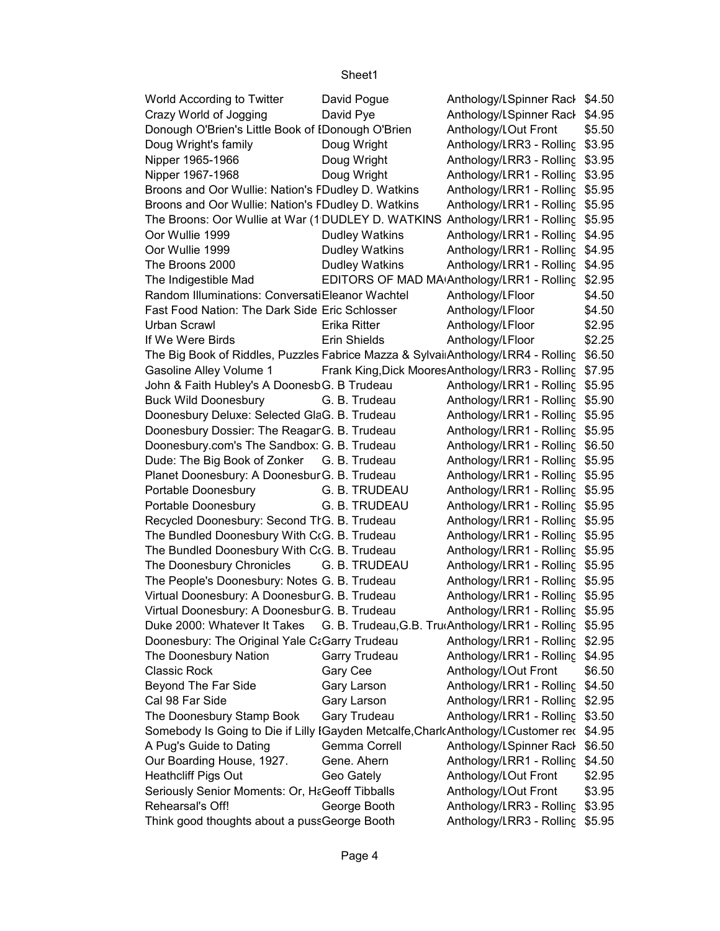| World According to Twitter                                                               | David Pogue           | Anthology/LSpinner Rack \$4.50                          |        |
|------------------------------------------------------------------------------------------|-----------------------|---------------------------------------------------------|--------|
| Crazy World of Jogging                                                                   | David Pye             | Anthology/LSpinner Rack \$4.95                          |        |
| Donough O'Brien's Little Book of IDonough O'Brien                                        |                       | Anthology/LOut Front                                    | \$5.50 |
| Doug Wright's family                                                                     | Doug Wright           | Anthology/LRR3 - Rolling \$3.95                         |        |
| Nipper 1965-1966                                                                         | Doug Wright           | Anthology/LRR3 - Rolling \$3.95                         |        |
| Nipper 1967-1968                                                                         | Doug Wright           | Anthology/LRR1 - Rolling \$3.95                         |        |
| Broons and Oor Wullie: Nation's FDudley D. Watkins                                       |                       | Anthology/LRR1 - Rolling \$5.95                         |        |
| Broons and Oor Wullie: Nation's FDudley D. Watkins                                       |                       | Anthology/LRR1 - Rolling \$5.95                         |        |
| The Broons: Oor Wullie at War (1DUDLEY D. WATKINS Anthology/LRR1 - Rolling \$5.95        |                       |                                                         |        |
| Oor Wullie 1999                                                                          | <b>Dudley Watkins</b> | Anthology/LRR1 - Rolling \$4.95                         |        |
| Oor Wullie 1999                                                                          | <b>Dudley Watkins</b> | Anthology/LRR1 - Rolling \$4.95                         |        |
| The Broons 2000                                                                          | <b>Dudley Watkins</b> | Anthology/LRR1 - Rolling \$4.95                         |        |
| The Indigestible Mad                                                                     |                       | EDITORS OF MAD MAIAnthology/LRR1 - Rolling \$2.95       |        |
| Random Illuminations: ConversatiEleanor Wachtel                                          |                       | Anthology/LFloor                                        | \$4.50 |
| Fast Food Nation: The Dark Side Eric Schlosser                                           |                       | Anthology/LFloor                                        | \$4.50 |
| Urban Scrawl                                                                             | Erika Ritter          | Anthology/LFloor                                        | \$2.95 |
| If We Were Birds                                                                         | Erin Shields          | Anthology/LFloor                                        | \$2.25 |
| The Big Book of Riddles, Puzzles Fabrice Mazza & Sylvai Anthology/LRR4 - Rolling \$6.50  |                       |                                                         |        |
| Gasoline Alley Volume 1                                                                  |                       | Frank King, Dick Moores Anthology/LRR3 - Rolling \$7.95 |        |
| John & Faith Hubley's A Doonesb G. B Trudeau                                             |                       | Anthology/LRR1 - Rolling \$5.95                         |        |
| <b>Buck Wild Doonesbury</b>                                                              | G. B. Trudeau         | Anthology/LRR1 - Rolling \$5.90                         |        |
| Doonesbury Deluxe: Selected GlaG. B. Trudeau                                             |                       | Anthology/LRR1 - Rolling \$5.95                         |        |
| Doonesbury Dossier: The Reagar G. B. Trudeau                                             |                       | Anthology/LRR1 - Rolling \$5.95                         |        |
| Doonesbury.com's The Sandbox: G. B. Trudeau                                              |                       | Anthology/LRR1 - Rolling \$6.50                         |        |
| Dude: The Big Book of Zonker G. B. Trudeau                                               |                       | Anthology/LRR1 - Rolling \$5.95                         |        |
| Planet Doonesbury: A Doonesbur G. B. Trudeau                                             |                       | Anthology/LRR1 - Rolling \$5.95                         |        |
| Portable Doonesbury                                                                      | G. B. TRUDEAU         | Anthology/LRR1 - Rolling \$5.95                         |        |
| Portable Doonesbury                                                                      | G. B. TRUDEAU         | Anthology/LRR1 - Rolling \$5.95                         |        |
| Recycled Doonesbury: Second TIG. B. Trudeau                                              |                       | Anthology/LRR1 - Rolling \$5.95                         |        |
| The Bundled Doonesbury With C(G. B. Trudeau                                              |                       | Anthology/LRR1 - Rolling \$5.95                         |        |
| The Bundled Doonesbury With C(G. B. Trudeau                                              |                       | Anthology/LRR1 - Rolling \$5.95                         |        |
| The Doonesbury Chronicles                                                                | G. B. TRUDEAU         | Anthology/LRR1 - Rolling \$5.95                         |        |
| The People's Doonesbury: Notes G. B. Trudeau                                             |                       | Anthology/LRR1 - Rolling \$5.95                         |        |
| Virtual Doonesbury: A Doonesbur G. B. Trudeau                                            |                       | Anthology/LRR1 - Rolling \$5.95                         |        |
| Virtual Doonesbury: A Doonesbur G. B. Trudeau                                            |                       | Anthology/LRR1 - Rolling \$5.95                         |        |
| Duke 2000: Whatever It Takes                                                             |                       | G. B. Trudeau, G.B. Tru Anthology/LRR1 - Rolling \$5.95 |        |
| Doonesbury: The Original Yale C&Garry Trudeau                                            |                       | Anthology/LRR1 - Rolling \$2.95                         |        |
| The Doonesbury Nation                                                                    | Garry Trudeau         | Anthology/LRR1 - Rolling \$4.95                         |        |
| <b>Classic Rock</b>                                                                      | Gary Cee              | Anthology/LOut Front                                    | \$6.50 |
| Beyond The Far Side                                                                      | Gary Larson           | Anthology/LRR1 - Rolling \$4.50                         |        |
| Cal 98 Far Side                                                                          | Gary Larson           | Anthology/LRR1 - Rolling \$2.95                         |        |
| The Doonesbury Stamp Book                                                                | Gary Trudeau          | Anthology/LRR1 - Rolling \$3.50                         |        |
| Somebody Is Going to Die if Lilly IGayden Metcalfe, CharlcAnthology/LCustomer rec \$4.95 |                       |                                                         |        |
| A Pug's Guide to Dating                                                                  | Gemma Correll         | Anthology/LSpinner Rack \$6.50                          |        |
| Our Boarding House, 1927.                                                                | Gene. Ahern           | Anthology/LRR1 - Rolling \$4.50                         |        |
| <b>Heathcliff Pigs Out</b>                                                               | Geo Gately            | Anthology/LOut Front                                    | \$2.95 |
| Seriously Senior Moments: Or, H&Geoff Tibballs                                           |                       | Anthology/LOut Front                                    | \$3.95 |
| Rehearsal's Off!                                                                         | George Booth          | Anthology/LRR3 - Rolling \$3.95                         |        |
| Think good thoughts about a pussGeorge Booth                                             |                       | Anthology/LRR3 - Rolling \$5.95                         |        |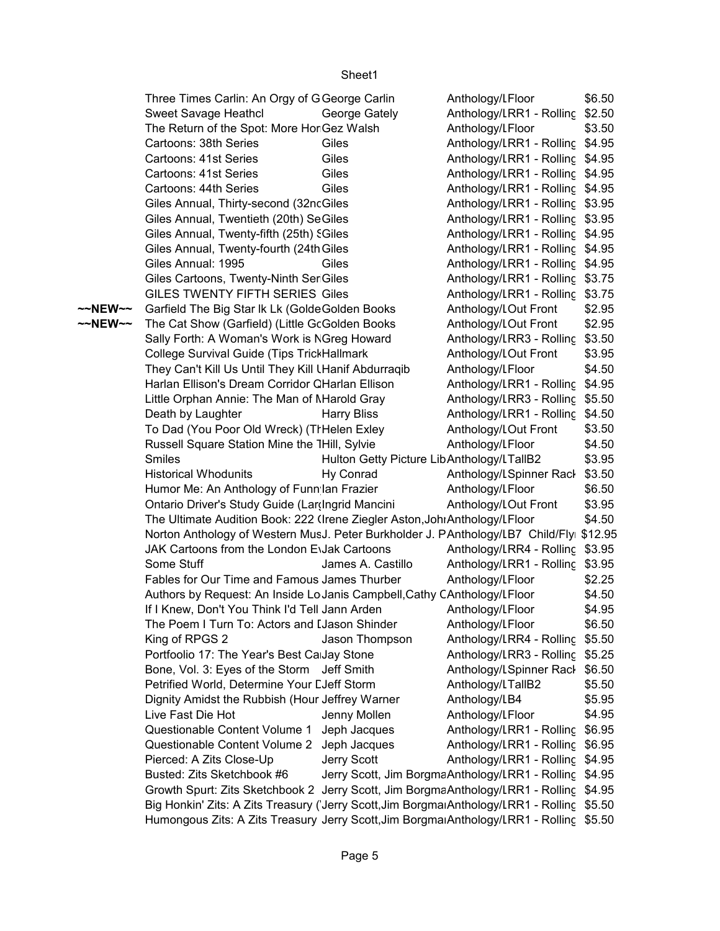|         | Three Times Carlin: An Orgy of G George Carlin                                               |                                           | Anthology/LFloor                                       | \$6.50 |
|---------|----------------------------------------------------------------------------------------------|-------------------------------------------|--------------------------------------------------------|--------|
|         | Sweet Savage Heathcl                                                                         | George Gately                             | Anthology/LRR1 - Rolling \$2.50                        |        |
|         | The Return of the Spot: More Hor Gez Walsh                                                   |                                           | Anthology/LFloor                                       | \$3.50 |
|         | Cartoons: 38th Series                                                                        | Giles                                     | Anthology/LRR1 - Rolling \$4.95                        |        |
|         | Cartoons: 41st Series                                                                        | Giles                                     | Anthology/LRR1 - Rolling \$4.95                        |        |
|         | Cartoons: 41st Series                                                                        | Giles                                     | Anthology/LRR1 - Rolling \$4.95                        |        |
|         | Cartoons: 44th Series                                                                        | Giles                                     | Anthology/LRR1 - Rolling \$4.95                        |        |
|         | Giles Annual, Thirty-second (32ncGiles                                                       |                                           | Anthology/LRR1 - Rolling \$3.95                        |        |
|         | Giles Annual, Twentieth (20th) SeGiles                                                       |                                           | Anthology/LRR1 - Rolling \$3.95                        |        |
|         | Giles Annual, Twenty-fifth (25th) SGiles                                                     |                                           | Anthology/LRR1 - Rolling \$4.95                        |        |
|         | Giles Annual, Twenty-fourth (24th Giles                                                      |                                           | Anthology/LRR1 - Rolling \$4.95                        |        |
|         | Giles Annual: 1995                                                                           | Giles                                     | Anthology/LRR1 - Rolling \$4.95                        |        |
|         | Giles Cartoons, Twenty-Ninth Ser Giles                                                       |                                           | Anthology/LRR1 - Rolling \$3.75                        |        |
|         | GILES TWENTY FIFTH SERIES Giles                                                              |                                           | Anthology/LRR1 - Rolling \$3.75                        |        |
| ~~NEW~~ | Garfield The Big Star Ik Lk (GoldeGolden Books                                               |                                           | Anthology/LOut Front                                   | \$2.95 |
| ~~NEW~~ | The Cat Show (Garfield) (Little GcGolden Books                                               |                                           | Anthology/LOut Front                                   | \$2.95 |
|         | Sally Forth: A Woman's Work is NGreg Howard                                                  |                                           | Anthology/LRR3 - Rolling \$3.50                        |        |
|         | College Survival Guide (Tips TrickHallmark                                                   |                                           | Anthology/LOut Front                                   | \$3.95 |
|         | They Can't Kill Us Until They Kill LHanif Abdurraqib                                         |                                           | Anthology/LFloor                                       | \$4.50 |
|         | Harlan Ellison's Dream Corridor CHarlan Ellison                                              |                                           | Anthology/LRR1 - Rolling \$4.95                        |        |
|         | Little Orphan Annie: The Man of Marold Gray                                                  |                                           | Anthology/LRR3 - Rolling \$5.50                        |        |
|         | Death by Laughter                                                                            | <b>Harry Bliss</b>                        | Anthology/LRR1 - Rolling \$4.50                        |        |
|         | To Dad (You Poor Old Wreck) (TrHelen Exley                                                   |                                           | Anthology/LOut Front                                   | \$3.50 |
|         | Russell Square Station Mine the THill, Sylvie                                                |                                           | Anthology/LFloor                                       | \$4.50 |
|         | Smiles                                                                                       | Hulton Getty Picture LibAnthology/LTallB2 |                                                        | \$3.95 |
|         | <b>Historical Whodunits</b>                                                                  | Hy Conrad                                 | Anthology/LSpinner Rack \$3.50                         |        |
|         | Humor Me: An Anthology of Funn Ian Frazier                                                   |                                           | Anthology/LFloor                                       | \$6.50 |
|         | Ontario Driver's Study Guide (Lar(Ingrid Mancini                                             |                                           | Anthology/LOut Front                                   | \$3.95 |
|         | The Ultimate Audition Book: 222 (Irene Ziegler Aston, Joh: Anthology/LFloor                  |                                           |                                                        | \$4.50 |
|         | Norton Anthology of Western MusJ. Peter Burkholder J. PAnthology/LB7 Child/Flyi \$12.95      |                                           |                                                        |        |
|         | JAK Cartoons from the London EvJak Cartoons                                                  |                                           | Anthology/LRR4 - Rolling \$3.95                        |        |
|         | Some Stuff                                                                                   | James A. Castillo                         | Anthology/LRR1 - Rolling \$3.95                        |        |
|         | Fables for Our Time and Famous James Thurber                                                 |                                           | Anthology/LFloor                                       | \$2.25 |
|         | Authors by Request: An Inside LoJanis Campbell, Cathy CAnthology/LFloor                      |                                           |                                                        | \$4.50 |
|         | If I Knew, Don't You Think I'd Tell Jann Arden                                               |                                           | Anthology/LFloor                                       | \$4.95 |
|         | The Poem I Turn To: Actors and I Jason Shinder                                               |                                           | Anthology/LFloor                                       | \$6.50 |
|         | King of RPGS 2                                                                               | Jason Thompson                            | Anthology/LRR4 - Rolling                               | \$5.50 |
|         | Portfoolio 17: The Year's Best Ca Jay Stone                                                  |                                           | Anthology/LRR3 - Rolling \$5.25                        |        |
|         | Bone, Vol. 3: Eyes of the Storm Jeff Smith                                                   |                                           | Anthology/LSpinner Rack \$6.50                         |        |
|         | Petrified World, Determine Your LJeff Storm                                                  |                                           | Anthology/LTallB2                                      | \$5.50 |
|         | Dignity Amidst the Rubbish (Hour Jeffrey Warner                                              |                                           | Anthology/LB4                                          | \$5.95 |
|         | Live Fast Die Hot                                                                            | Jenny Mollen                              | Anthology/LFloor                                       | \$4.95 |
|         | Questionable Content Volume 1                                                                | Jeph Jacques                              | Anthology/LRR1 - Rolling \$6.95                        |        |
|         | Questionable Content Volume 2 Jeph Jacques                                                   |                                           | Anthology/LRR1 - Rolling \$6.95                        |        |
|         | Pierced: A Zits Close-Up                                                                     | Jerry Scott                               | Anthology/LRR1 - Rolling \$4.95                        |        |
|         | Busted: Zits Sketchbook #6                                                                   |                                           | Jerry Scott, Jim BorgmaAnthology/LRR1 - Rolling \$4.95 |        |
|         | Growth Spurt: Zits Sketchbook 2 Jerry Scott, Jim BorgmaAnthology/LRR1 - Rolling \$4.95       |                                           |                                                        |        |
|         | Big Honkin' Zits: A Zits Treasury ('Jerry Scott, Jim Borgmai Anthology/LRR1 - Rolling \$5.50 |                                           |                                                        |        |
|         | Humongous Zits: A Zits Treasury Jerry Scott, Jim Borgmai Anthology/LRR1 - Rolling \$5.50     |                                           |                                                        |        |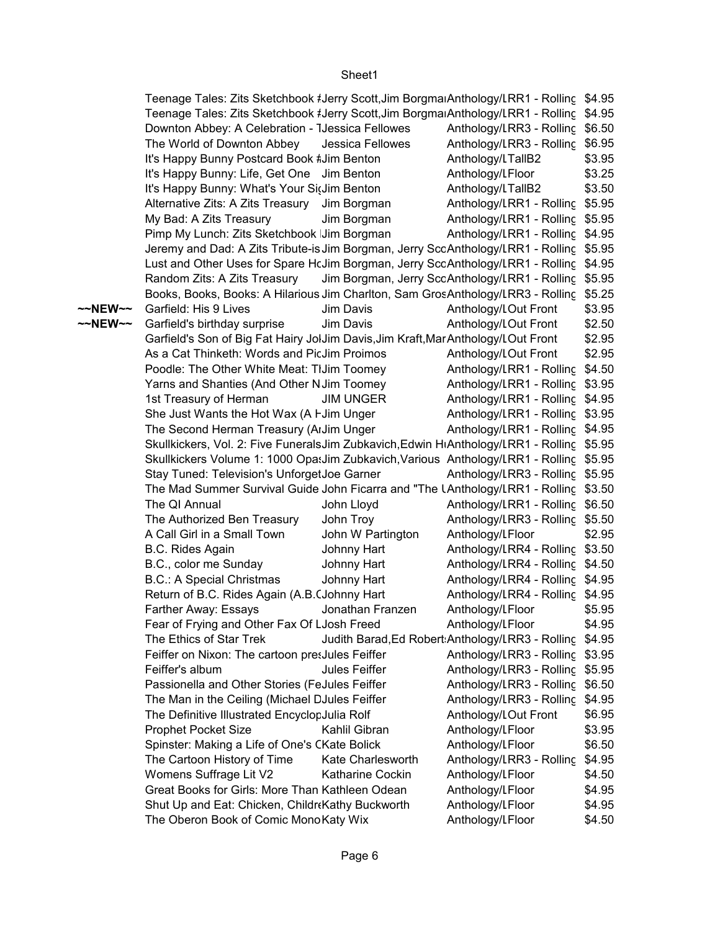|         | Teenage Tales: Zits Sketchbook #Jerry Scott, Jim BorgmaiAnthology/LRR1 - Rolling \$4.95   |                   |                                                       |        |
|---------|-------------------------------------------------------------------------------------------|-------------------|-------------------------------------------------------|--------|
|         | Teenage Tales: Zits Sketchbook #Jerry Scott, Jim Borgmai Anthology/LRR1 - Rolling \$4.95  |                   |                                                       |        |
|         | Downton Abbey: A Celebration - IJessica Fellowes                                          |                   | Anthology/LRR3 - Rolling \$6.50                       |        |
|         | The World of Downton Abbey                                                                | Jessica Fellowes  | Anthology/LRR3 - Rolling \$6.95                       |        |
|         | It's Happy Bunny Postcard Book #Jim Benton                                                |                   | Anthology/LTallB2                                     | \$3.95 |
|         | It's Happy Bunny: Life, Get One Jim Benton                                                |                   | Anthology/LFloor                                      | \$3.25 |
|         | It's Happy Bunny: What's Your SitJim Benton                                               |                   | Anthology/LTallB2                                     | \$3.50 |
|         | Alternative Zits: A Zits Treasury Jim Borgman                                             |                   | Anthology/LRR1 - Rolling \$5.95                       |        |
|         | My Bad: A Zits Treasury                                                                   | Jim Borgman       | Anthology/LRR1 - Rolling \$5.95                       |        |
|         | Pimp My Lunch: Zits Sketchbook Jim Borgman                                                |                   | Anthology/LRR1 - Rolling \$4.95                       |        |
|         | Jeremy and Dad: A Zits Tribute-is Jim Borgman, Jerry SccAnthology/LRR1 - Rolling \$5.95   |                   |                                                       |        |
|         | Lust and Other Uses for Spare HcJim Borgman, Jerry SccAnthology/LRR1 - Rolling \$4.95     |                   |                                                       |        |
|         | Random Zits: A Zits Treasury                                                              |                   | Jim Borgman, Jerry SccAnthology/LRR1 - Rolling \$5.95 |        |
|         | Books, Books, Books: A Hilarious Jim Charlton, Sam GrosAnthology/LRR3 - Rolling           |                   |                                                       | \$5.25 |
| ~~NEW~~ | Garfield: His 9 Lives                                                                     | Jim Davis         | Anthology/LOut Front                                  | \$3.95 |
| ~~NEW~~ | Garfield's birthday surprise                                                              | Jim Davis         | Anthology/LOut Front                                  | \$2.50 |
|         | Garfield's Son of Big Fat Hairy JolJim Davis, Jim Kraft, Mar Anthology/LOut Front         |                   |                                                       | \$2.95 |
|         | As a Cat Thinketh: Words and PicJim Proimos                                               |                   | Anthology/LOut Front                                  | \$2.95 |
|         | Poodle: The Other White Meat: TIJim Toomey                                                |                   | Anthology/LRR1 - Rolling \$4.50                       |        |
|         | Yarns and Shanties (And Other N Jim Toomey                                                |                   | Anthology/LRR1 - Rolling \$3.95                       |        |
|         | 1st Treasury of Herman                                                                    | <b>JIM UNGER</b>  | Anthology/LRR1 - Rolling \$4.95                       |        |
|         | She Just Wants the Hot Wax (A I Jim Unger                                                 |                   | Anthology/LRR1 - Rolling \$3.95                       |        |
|         | The Second Herman Treasury (ArJim Unger                                                   |                   | Anthology/LRR1 - Rolling \$4.95                       |        |
|         | Skullkickers, Vol. 2: Five FuneralsJim Zubkavich, Edwin HıAnthology/LRR1 - Rolling \$5.95 |                   |                                                       |        |
|         | Skullkickers Volume 1: 1000 Opa: Jim Zubkavich, Various Anthology/LRR1 - Rolling \$5.95   |                   |                                                       |        |
|         | Stay Tuned: Television's UnforgetJoe Garner                                               |                   | Anthology/LRR3 - Rolling \$5.95                       |        |
|         | The Mad Summer Survival Guide John Ficarra and "The LAnthology/LRR1 - Rolling \$3.50      |                   |                                                       |        |
|         | The QI Annual                                                                             | John Lloyd        | Anthology/LRR1 - Rolling \$6.50                       |        |
|         | The Authorized Ben Treasury                                                               | John Troy         | Anthology/LRR3 - Rolling \$5.50                       |        |
|         | A Call Girl in a Small Town                                                               | John W Partington | Anthology/LFloor                                      | \$2.95 |
|         | B.C. Rides Again                                                                          | Johnny Hart       | Anthology/LRR4 - Rolling \$3.50                       |        |
|         | B.C., color me Sunday                                                                     | Johnny Hart       | Anthology/LRR4 - Rolling \$4.50                       |        |
|         | <b>B.C.: A Special Christmas</b>                                                          | Johnny Hart       | Anthology/LRR4 - Rolling \$4.95                       |        |
|         | Return of B.C. Rides Again (A.B. (Johnny Hart                                             |                   | Anthology/LRR4 - Rolling \$4.95                       |        |
|         | Farther Away: Essays                                                                      | Jonathan Franzen  | Anthology/LFloor                                      | \$5.95 |
|         | Fear of Frying and Other Fax Of LJosh Freed                                               |                   | Anthology/LFloor                                      | \$4.95 |
|         | The Ethics of Star Trek                                                                   |                   | Judith Barad, Ed Robert: Anthology/LRR3 - Rolling     | \$4.95 |
|         | Feiffer on Nixon: The cartoon presJules Feiffer                                           |                   | Anthology/LRR3 - Rolling                              | \$3.95 |
|         | Feiffer's album                                                                           | Jules Feiffer     | Anthology/LRR3 - Rolling                              | \$5.95 |
|         | Passionella and Other Stories (FeJules Feiffer                                            |                   | Anthology/LRR3 - Rolling                              | \$6.50 |
|         | The Man in the Ceiling (Michael DJules Feiffer                                            |                   | Anthology/LRR3 - Rolling                              | \$4.95 |
|         | The Definitive Illustrated EncyclopJulia Rolf                                             |                   | Anthology/LOut Front                                  | \$6.95 |
|         | <b>Prophet Pocket Size</b>                                                                | Kahlil Gibran     | Anthology/LFloor                                      | \$3.95 |
|         | Spinster: Making a Life of One's CKate Bolick                                             |                   | Anthology/LFloor                                      | \$6.50 |
|         | The Cartoon History of Time                                                               | Kate Charlesworth | Anthology/LRR3 - Rolling                              | \$4.95 |
|         | Womens Suffrage Lit V2                                                                    | Katharine Cockin  | Anthology/LFloor                                      | \$4.50 |
|         | Great Books for Girls: More Than Kathleen Odean                                           |                   | Anthology/LFloor                                      | \$4.95 |
|         | Shut Up and Eat: Chicken, Childr Kathy Buckworth                                          |                   | Anthology/LFloor                                      | \$4.95 |
|         | The Oberon Book of Comic MonoKaty Wix                                                     |                   | Anthology/LFloor                                      | \$4.50 |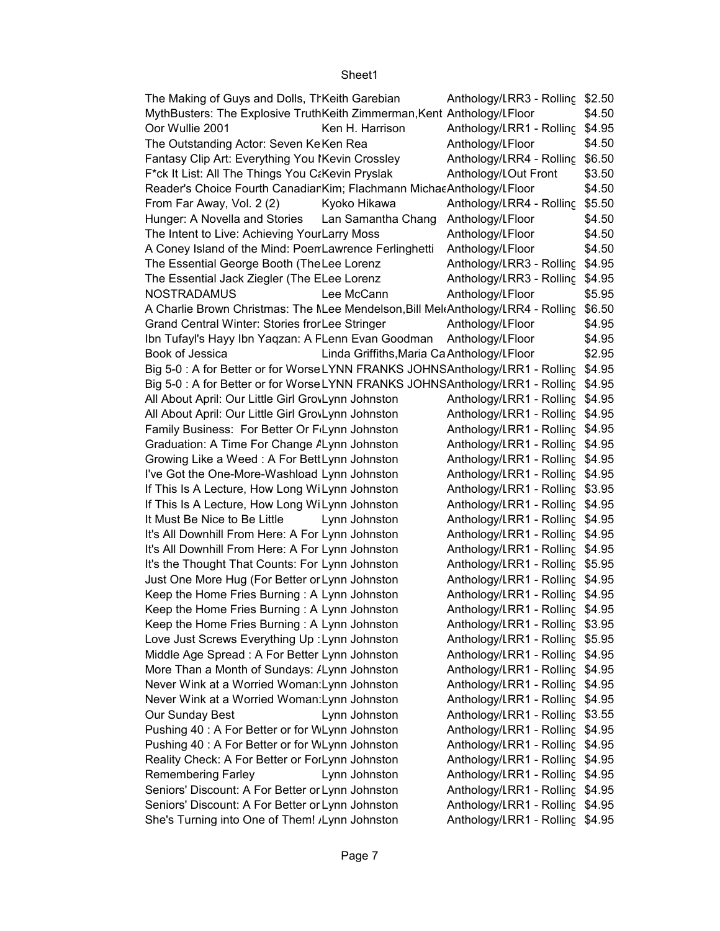| The Making of Guys and Dolls, Th Keith Garebian                                 |                                            | Anthology/LRR3 - Rolling | \$2.50 |
|---------------------------------------------------------------------------------|--------------------------------------------|--------------------------|--------|
| MythBusters: The Explosive TruthKeith Zimmerman, Kent Anthology/LFloor          |                                            |                          | \$4.50 |
| Oor Wullie 2001                                                                 | Ken H. Harrison                            | Anthology/LRR1 - Rolling | \$4.95 |
| The Outstanding Actor: Seven KeKen Rea                                          |                                            | Anthology/LFloor         | \$4.50 |
| Fantasy Clip Art: Everything You IKevin Crossley                                |                                            | Anthology/LRR4 - Rolling | \$6.50 |
| F*ck It List: All The Things You C&Kevin Pryslak                                |                                            | Anthology/LOut Front     | \$3.50 |
| Reader's Choice Fourth Canadiar Kim; Flachmann Michae Anthology/LFloor          |                                            |                          | \$4.50 |
| From Far Away, Vol. 2 (2)                                                       | Kyoko Hikawa                               | Anthology/LRR4 - Rolling | \$5.50 |
| Hunger: A Novella and Stories                                                   | Lan Samantha Chang                         | Anthology/LFloor         | \$4.50 |
| The Intent to Live: Achieving YourLarry Moss                                    |                                            | Anthology/LFloor         | \$4.50 |
| A Coney Island of the Mind: PoenLawrence Ferlinghetti                           |                                            | Anthology/LFloor         | \$4.50 |
| The Essential George Booth (The Lee Lorenz                                      |                                            | Anthology/LRR3 - Rolling | \$4.95 |
| The Essential Jack Ziegler (The ELee Lorenz                                     |                                            | Anthology/LRR3 - Rolling | \$4.95 |
| <b>NOSTRADAMUS</b>                                                              | Lee McCann                                 | Anthology/LFloor         | \$5.95 |
| A Charlie Brown Christmas: The NLee Mendelson, Bill MekAnthology/LRR4 - Rolling |                                            |                          | \$6.50 |
| Grand Central Winter: Stories fror Lee Stringer                                 |                                            | Anthology/LFloor         | \$4.95 |
| Ibn Tufayl's Hayy Ibn Yaqzan: A FLenn Evan Goodman                              |                                            | Anthology/LFloor         | \$4.95 |
| Book of Jessica                                                                 | Linda Griffiths, Maria Ca Anthology/LFloor |                          | \$2.95 |
| Big 5-0 : A for Better or for WorseLYNN FRANKS JOHNSAnthology/LRR1 - Rolling    |                                            |                          | \$4.95 |
| Big 5-0: A for Better or for WorseLYNN FRANKS JOHNSAnthology/LRR1 - Rolling     |                                            |                          | \$4.95 |
| All About April: Our Little Girl GrovLynn Johnston                              |                                            | Anthology/LRR1 - Rolling | \$4.95 |
| All About April: Our Little Girl GrovLynn Johnston                              |                                            | Anthology/LRR1 - Rolling | \$4.95 |
| Family Business: For Better Or FLynn Johnston                                   |                                            | Anthology/LRR1 - Rolling | \$4.95 |
| Graduation: A Time For Change <i>ALynn Johnston</i>                             |                                            | Anthology/LRR1 - Rolling | \$4.95 |
| Growing Like a Weed: A For BettLynn Johnston                                    |                                            | Anthology/LRR1 - Rolling | \$4.95 |
| I've Got the One-More-Washload Lynn Johnston                                    |                                            | Anthology/LRR1 - Rolling | \$4.95 |
| If This Is A Lecture, How Long Willynn Johnston                                 |                                            | Anthology/LRR1 - Rolling | \$3.95 |
| If This Is A Lecture, How Long Willynn Johnston                                 |                                            | Anthology/LRR1 - Rolling | \$4.95 |
| It Must Be Nice to Be Little                                                    | Lynn Johnston                              | Anthology/LRR1 - Rolling | \$4.95 |
| It's All Downhill From Here: A For Lynn Johnston                                |                                            | Anthology/LRR1 - Rolling | \$4.95 |
| It's All Downhill From Here: A For Lynn Johnston                                |                                            | Anthology/LRR1 - Rolling | \$4.95 |
| It's the Thought That Counts: For Lynn Johnston                                 |                                            | Anthology/LRR1 - Rolling | \$5.95 |
| Just One More Hug (For Better or Lynn Johnston                                  |                                            | Anthology/LRR1 - Rolling | \$4.95 |
| Keep the Home Fries Burning: A Lynn Johnston                                    |                                            | Anthology/LRR1 - Rolling | \$4.95 |
| Keep the Home Fries Burning: A Lynn Johnston                                    |                                            | Anthology/LRR1 - Rolling | \$4.95 |
| Keep the Home Fries Burning: A Lynn Johnston                                    |                                            | Anthology/LRR1 - Rolling | \$3.95 |
| Love Just Screws Everything Up: Lynn Johnston                                   |                                            | Anthology/LRR1 - Rolling | \$5.95 |
| Middle Age Spread: A For Better Lynn Johnston                                   |                                            | Anthology/LRR1 - Rolling | \$4.95 |
| More Than a Month of Sundays: /Lynn Johnston                                    |                                            | Anthology/LRR1 - Rolling | \$4.95 |
| Never Wink at a Worried Woman: Lynn Johnston                                    |                                            | Anthology/LRR1 - Rolling | \$4.95 |
| Never Wink at a Worried Woman: Lynn Johnston                                    |                                            | Anthology/LRR1 - Rolling | \$4.95 |
| Our Sunday Best                                                                 | Lynn Johnston                              | Anthology/LRR1 - Rolling | \$3.55 |
| Pushing 40: A For Better or for WLynn Johnston                                  |                                            | Anthology/LRR1 - Rolling | \$4.95 |
| Pushing 40: A For Better or for WLynn Johnston                                  |                                            | Anthology/LRR1 - Rolling | \$4.95 |
| Reality Check: A For Better or ForLynn Johnston                                 |                                            | Anthology/LRR1 - Rolling | \$4.95 |
| <b>Remembering Farley</b>                                                       | Lynn Johnston                              | Anthology/LRR1 - Rolling | \$4.95 |
| Seniors' Discount: A For Better or Lynn Johnston                                |                                            | Anthology/LRR1 - Rolling | \$4.95 |
| Seniors' Discount: A For Better or Lynn Johnston                                |                                            | Anthology/LRR1 - Rolling | \$4.95 |
| She's Turning into One of Them! / Lynn Johnston                                 |                                            | Anthology/LRR1 - Rolling | \$4.95 |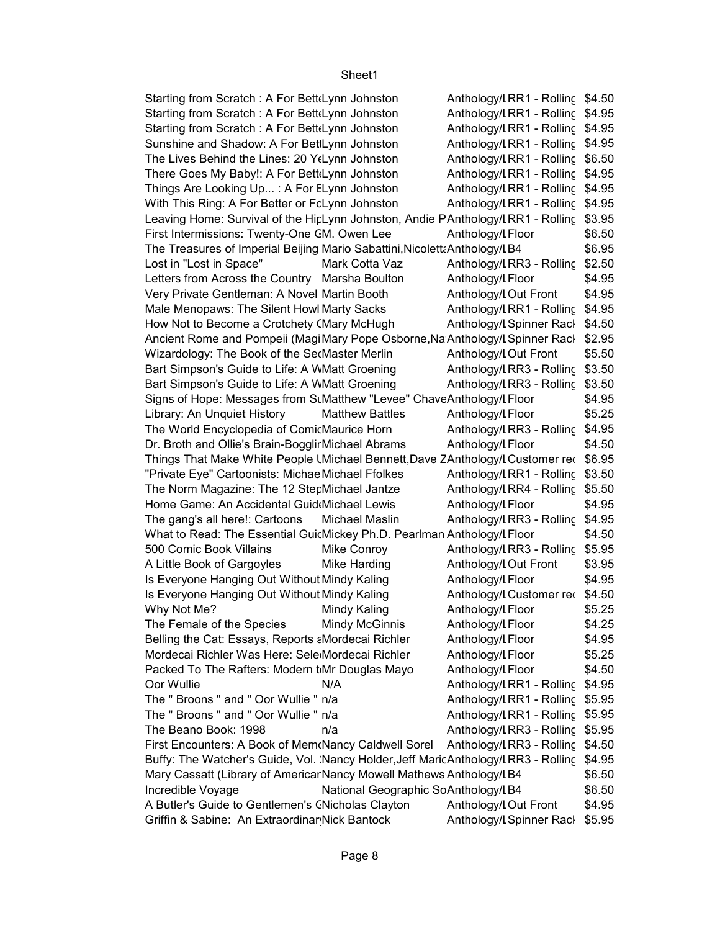Anthology/LRR1 - Rolling \$4.50 Anthology/LRR1 - Rolling \$4.95 Anthology/LRR1 - Rolling \$4.95 Anthology/LRR1 - Rolling \$4.95 Anthology/LRR1 - Rolling \$6.50 Anthology/LRR1 - Rolling \$4.95 Anthology/LRR1 - Rolling \$4.95 Anthology/LRR1 - Rolling \$4.95 Leaving Home: Survival of the HirLynn Johnston, Andie PAnthology/LRR1 - Rolling \$3.95 \$6.50 B4 \$6.95 Lost in "Lost in Space" Mark Cotta Vaz Anthology/LRR3 - Rolling \$2.50 \$4.95 \$4.95 Anthology/LRR1 - Rolling \$4.95 Anthology/LSpinner Rack \$4.50 Ancient Rome and Pompeii (MagiMary Pope Osborne,Na Anthology/LSpinner Rack \$2.95 \$5.50 Anthology/LRR3 - Rolling \$3.50 Anthology/LRR3 - Rolling \$3.50 \$4.95 \$5.25 Anthology/LRR3 - Rolling \$4.95 \$4.50 Things That Make White People Unichael Bennett,Dave ZAnthology/LCustomer rec \$6.95 Anthology/LRR1 - Rolling \$3.50 Anthology/LRR4 - Rolling \$5.50 \$4.95 The gang's all here!: Cartoons Michael Maslin Anthology/LRR3 - Rolling \$4.95 \$4.50 500 Comic Book Villains Mike Conroy Anthology/LRR3 - Rolling \$5.95 \$3.95 \$4.95 Anthology/LCustomer rec \$4.50 \$5.25 \$4.25 \$4.95 \$5.25 \$4.50 N/A \$4.95 Oor Wullie Anthology/Literature RR1 - Rolling Rack Side 1 The " Broons " and " Oor Wullie " n/a The Shankhology/LRR1 - Rolling \$5.95 The " Broons " and " Oor Wullie " n/a The Shankhology/LRR1 - Rolling \$5.95 The Beano Book: 1998 h/a http://www.fat.com/induct/inductory/Literature 35.95 Anthology/LRR3 - Rolling \$4.50 Buffy: The Watcher's Guide, Vol. Nancy Holder,Jeff MaricAnthology/LRR3 - Rolling \$4.95 \$6.50 B4 \$6.50 \$4.95 Anthology/LSpinner Rack \$5.95 Starting from Scratch : A For Bett(Lynn Johnston Starting from Scratch : A For Bett(Lynn Johnston Starting from Scratch : A For Bett(Lynn Johnston Sunshine and Shadow: A For BetILynn Johnston The Lives Behind the Lines: 20 Y(Lynn Johnston There Goes My Baby!: A For BettiLynn Johnston Things Are Looking Up... : A For ELynn Johnston With This Ring: A For Better or FcLynn Johnston First Intermissions: Twenty-One CM. Owen Lee **Anthology/LFloor** The Treasures of Imperial Beijing Mario Sabattini, Nicoletta Anthology/LB4 Letters from Across the Country Marsha Boulton **Anthology/LFloor** Very Private Gentleman: A Novel Martin Booth Anthology/LOut Front Male Menopaws: The Silent Howl Marty Sacks How Not to Become a Crotchety (Mary McHugh Wizardology: The Book of the SecMaster Merlin **Anthology/LOut Front** Bart Simpson's Guide to Life: A WMatt Groening Bart Simpson's Guide to Life: A WMatt Groening Signs of Hope: Messages from SuMatthew "Levee" ChaveAnthology/LFloor Library: An Unquiet History Matthew Battles Anthology/LFloor The World Encyclopedia of ComicMaurice Horn Dr. Broth and Ollie's Brain-Bogglir Michael Abrams Anthology/LFloor "Private Eye" Cartoonists: Michae Michael Ffolkes The Norm Magazine: The 12 Step Michael Jantze Home Game: An Accidental Guid Michael Lewis Anthology/LFloor What to Read: The Essential Guid Mickey Ph.D. Pearlman Anthology/LFloor A Little Book of Gargoyles Mike Harding Anthology/LOut Front Is Everyone Hanging Out Without Mindy Kaling **Anthology/Literature Concerns** Is Everyone Hanging Out Without Mindy Kaling Why Not Me? Mindy Kaling Mindy Kaling Anthology/LFloor The Female of the Species Mindy McGinnis Anthology/LFloor Belling the Cat: Essays, Reports aMordecai Richler Anthology/LFloor Mordecai Richler Was Here: Sele Mordecai Richler Anthology/LFloor Packed To The Rafters: Modern tMr Douglas Mayo Anthology/LFloor First Encounters: A Book of Mem Nancy Caldwell Sorel Mary Cassatt (Library of Americar Nancy Mowell Mathews Anthology/LB4 Incredible Voyage National Geographic SoAnthology/LB4 A Butler's Guide to Gentlemen's CNicholas Clayton Anthology/LOut Front Griffin & Sabine: An Extraordinar Nick Bantock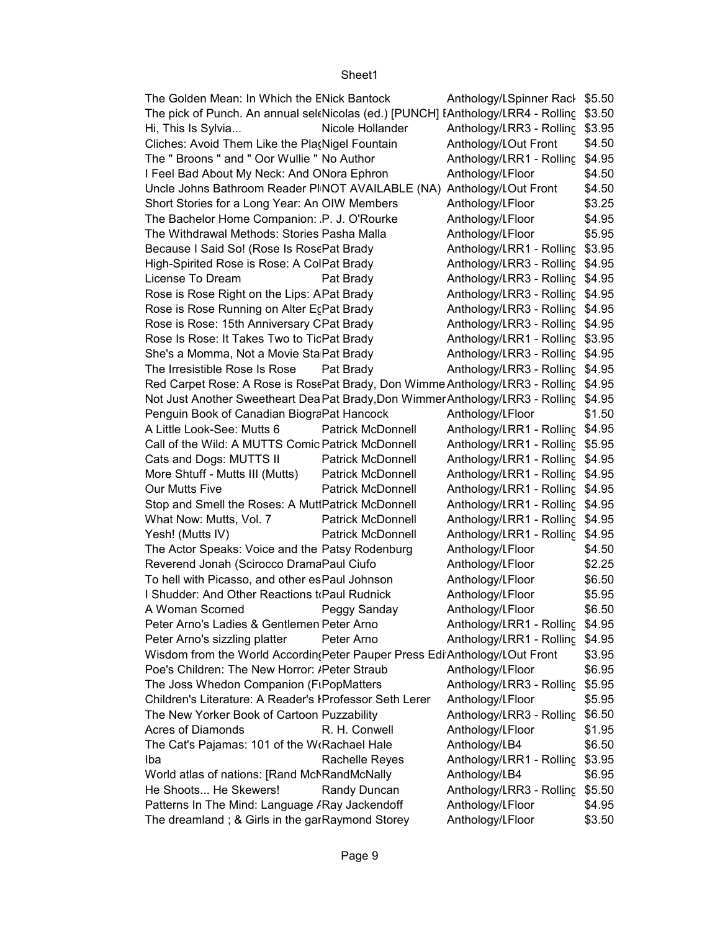| The Golden Mean: In Which the ENick Bantock                                             |                          | Anthology/LSpinner Rack \$5.50  |        |
|-----------------------------------------------------------------------------------------|--------------------------|---------------------------------|--------|
| The pick of Punch. An annual sel(Nicolas (ed.) [PUNCH] [Anthology/LRR4 - Rolling \$3.50 |                          |                                 |        |
| Hi, This Is Sylvia                                                                      | Nicole Hollander         | Anthology/LRR3 - Rolling \$3.95 |        |
| Cliches: Avoid Them Like the Pla Nigel Fountain                                         |                          | Anthology/LOut Front            | \$4.50 |
| The " Broons " and " Oor Wullie " No Author                                             |                          | Anthology/LRR1 - Rolling \$4.95 |        |
|                                                                                         |                          | Anthology/LFloor                |        |
| I Feel Bad About My Neck: And ONora Ephron                                              |                          |                                 | \$4.50 |
| Uncle Johns Bathroom Reader PINOT AVAILABLE (NA) Anthology/LOut Front                   |                          |                                 | \$4.50 |
| Short Stories for a Long Year: An OIW Members                                           |                          | Anthology/LFloor                | \$3.25 |
| The Bachelor Home Companion: P. J. O'Rourke                                             |                          | Anthology/LFloor                | \$4.95 |
| The Withdrawal Methods: Stories Pasha Malla                                             |                          | Anthology/LFloor                | \$5.95 |
| Because I Said So! (Rose Is RosePat Brady                                               |                          | Anthology/LRR1 - Rolling \$3.95 |        |
| High-Spirited Rose is Rose: A ColPat Brady                                              |                          | Anthology/LRR3 - Rolling \$4.95 |        |
| License To Dream                                                                        | Pat Brady                | Anthology/LRR3 - Rolling \$4.95 |        |
| Rose is Rose Right on the Lips: APat Brady                                              |                          | Anthology/LRR3 - Rolling \$4.95 |        |
| Rose is Rose Running on Alter EcPat Brady                                               |                          | Anthology/LRR3 - Rolling \$4.95 |        |
| Rose is Rose: 15th Anniversary CPat Brady                                               |                          | Anthology/LRR3 - Rolling \$4.95 |        |
| Rose Is Rose: It Takes Two to TicPat Brady                                              |                          | Anthology/LRR1 - Rolling \$3.95 |        |
| She's a Momma, Not a Movie Sta Pat Brady                                                |                          | Anthology/LRR3 - Rolling \$4.95 |        |
| The Irresistible Rose Is Rose                                                           | Pat Brady                | Anthology/LRR3 - Rolling \$4.95 |        |
| Red Carpet Rose: A Rose is RosePat Brady, Don Wimme Anthology/LRR3 - Rolling \$4.95     |                          |                                 |        |
| Not Just Another Sweetheart Dea Pat Brady, Don Wimmer Anthology/LRR3 - Rolling \$4.95   |                          |                                 |        |
| Penguin Book of Canadian BiograPat Hancock                                              |                          | Anthology/LFloor                | \$1.50 |
| A Little Look-See: Mutts 6                                                              | <b>Patrick McDonnell</b> | Anthology/LRR1 - Rolling \$4.95 |        |
| Call of the Wild: A MUTTS Comic Patrick McDonnell                                       |                          | Anthology/LRR1 - Rolling \$5.95 |        |
| Cats and Dogs: MUTTS II                                                                 | <b>Patrick McDonnell</b> | Anthology/LRR1 - Rolling \$4.95 |        |
| More Shtuff - Mutts III (Mutts)                                                         | <b>Patrick McDonnell</b> | Anthology/LRR1 - Rolling \$4.95 |        |
| Our Mutts Five                                                                          | <b>Patrick McDonnell</b> | Anthology/LRR1 - Rolling \$4.95 |        |
| Stop and Smell the Roses: A MuttPatrick McDonnell                                       |                          | Anthology/LRR1 - Rolling \$4.95 |        |
| What Now: Mutts, Vol. 7                                                                 | <b>Patrick McDonnell</b> | Anthology/LRR1 - Rolling \$4.95 |        |
| Yesh! (Mutts IV)                                                                        | <b>Patrick McDonnell</b> | Anthology/LRR1 - Rolling \$4.95 |        |
| The Actor Speaks: Voice and the Patsy Rodenburg                                         |                          | Anthology/LFloor                | \$4.50 |
| Reverend Jonah (Scirocco DramaPaul Ciufo                                                |                          | Anthology/LFloor                | \$2.25 |
| To hell with Picasso, and other esPaul Johnson                                          |                          | Anthology/LFloor                | \$6.50 |
| I Shudder: And Other Reactions to Paul Rudnick                                          |                          | Anthology/LFloor                | \$5.95 |
| A Woman Scorned                                                                         | Peggy Sanday             | Anthology/LFloor                | \$6.50 |
| Peter Arno's Ladies & Gentlemen Peter Arno                                              |                          | Anthology/LRR1 - Rolling \$4.95 |        |
| Peter Arno's sizzling platter                                                           | Peter Arno               | Anthology/LRR1 - Rolling        | \$4.95 |
| Wisdom from the World According Peter Pauper Press Edi Anthology/LOut Front             |                          |                                 | \$3.95 |
| Poe's Children: The New Horror: /Peter Straub                                           |                          | Anthology/LFloor                | \$6.95 |
| The Joss Whedon Companion (FiPopMatters                                                 |                          | Anthology/LRR3 - Rolling        | \$5.95 |
| Children's Literature: A Reader's IProfessor Seth Lerer                                 |                          | Anthology/LFloor                | \$5.95 |
| The New Yorker Book of Cartoon Puzzability                                              |                          | Anthology/LRR3 - Rolling        | \$6.50 |
| Acres of Diamonds                                                                       | R. H. Conwell            | Anthology/LFloor                | \$1.95 |
| The Cat's Pajamas: 101 of the W(Rachael Hale                                            |                          |                                 | \$6.50 |
|                                                                                         |                          | Anthology/LB4                   |        |
| Iba                                                                                     | Rachelle Reyes           | Anthology/LRR1 - Rolling        | \$3.95 |
| World atlas of nations: [Rand McNRandMcNally                                            |                          | Anthology/LB4                   | \$6.95 |
| He Shoots He Skewers!                                                                   | Randy Duncan             | Anthology/LRR3 - Rolling        | \$5.50 |
| Patterns In The Mind: Language / Ray Jackendoff                                         |                          | Anthology/LFloor                | \$4.95 |
| The dreamland; & Girls in the garRaymond Storey                                         |                          | Anthology/LFloor                | \$3.50 |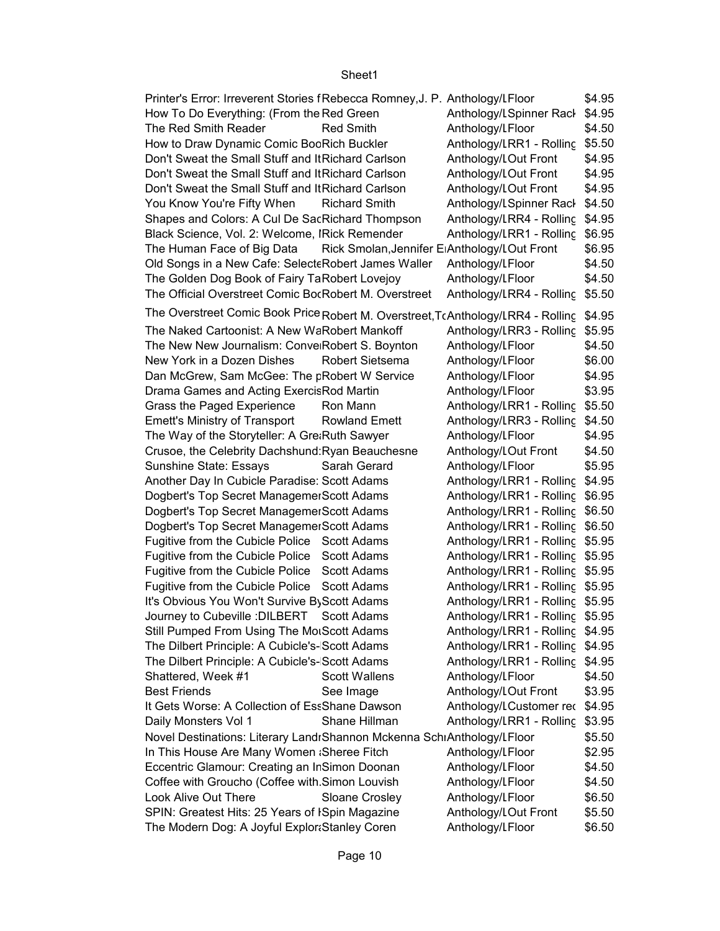| Printer's Error: Irreverent Stories f Rebecca Romney, J. P. Anthology/LFloor            |                                 | \$4.95 |
|-----------------------------------------------------------------------------------------|---------------------------------|--------|
| How To Do Everything: (From the Red Green                                               | Anthology/LSpinner Rack         | \$4.95 |
| The Red Smith Reader<br>Red Smith                                                       | Anthology/LFloor                | \$4.50 |
| How to Draw Dynamic Comic BooRich Buckler                                               | Anthology/LRR1 - Rolling \$5.50 |        |
| Don't Sweat the Small Stuff and It Richard Carlson                                      | Anthology/LOut Front            | \$4.95 |
| Don't Sweat the Small Stuff and It Richard Carlson                                      | Anthology/LOut Front            | \$4.95 |
| Don't Sweat the Small Stuff and It Richard Carlson                                      | Anthology/LOut Front            | \$4.95 |
| You Know You're Fifty When<br><b>Richard Smith</b>                                      | Anthology/LSpinner Rack         | \$4.50 |
| Shapes and Colors: A Cul De SacRichard Thompson                                         | Anthology/LRR4 - Rolling \$4.95 |        |
| Black Science, Vol. 2: Welcome, IRick Remender                                          | Anthology/LRR1 - Rolling        | \$6.95 |
| Rick Smolan, Jennifer ElAnthology/LOut Front<br>The Human Face of Big Data              |                                 | \$6.95 |
| Old Songs in a New Cafe: SelecteRobert James Waller                                     | Anthology/LFloor                | \$4.50 |
| The Golden Dog Book of Fairy TaRobert Lovejoy                                           | Anthology/LFloor                | \$4.50 |
| The Official Overstreet Comic BocRobert M. Overstreet                                   | Anthology/LRR4 - Rolling \$5.50 |        |
| The Overstreet Comic Book Price Robert M. Overstreet, TcAnthology/LRR4 - Rolling \$4.95 |                                 |        |
| The Naked Cartoonist: A New WaRobert Mankoff                                            | Anthology/LRR3 - Rolling \$5.95 |        |
| The New New Journalism: ConverRobert S. Boynton                                         | Anthology/LFloor                | \$4.50 |
| New York in a Dozen Dishes<br><b>Robert Sietsema</b>                                    | Anthology/LFloor                | \$6.00 |
| Dan McGrew, Sam McGee: The pRobert W Service                                            | Anthology/LFloor                | \$4.95 |
| Drama Games and Acting Exercis Rod Martin                                               | Anthology/LFloor                | \$3.95 |
| Grass the Paged Experience<br>Ron Mann                                                  | Anthology/LRR1 - Rolling \$5.50 |        |
| <b>Emett's Ministry of Transport</b><br><b>Rowland Emett</b>                            | Anthology/LRR3 - Rolling \$4.50 |        |
| The Way of the Storyteller: A Gre:Ruth Sawyer                                           | Anthology/LFloor                | \$4.95 |
| Crusoe, the Celebrity Dachshund: Ryan Beauchesne                                        | Anthology/LOut Front            | \$4.50 |
| Sunshine State: Essays<br>Sarah Gerard                                                  | Anthology/LFloor                | \$5.95 |
| Another Day In Cubicle Paradise: Scott Adams                                            | Anthology/LRR1 - Rolling \$4.95 |        |
| Dogbert's Top Secret Managemer Scott Adams                                              | Anthology/LRR1 - Rolling \$6.95 |        |
| Dogbert's Top Secret Managemer Scott Adams                                              | Anthology/LRR1 - Rolling \$6.50 |        |
| Dogbert's Top Secret Managemer Scott Adams                                              | Anthology/LRR1 - Rolling \$6.50 |        |
| Fugitive from the Cubicle Police Scott Adams                                            | Anthology/LRR1 - Rolling \$5.95 |        |
| Fugitive from the Cubicle Police Scott Adams                                            | Anthology/LRR1 - Rolling \$5.95 |        |
| Fugitive from the Cubicle Police Scott Adams                                            | Anthology/LRR1 - Rolling \$5.95 |        |
| Fugitive from the Cubicle Police Scott Adams                                            | Anthology/LRR1 - Rolling \$5.95 |        |
| It's Obvious You Won't Survive By Scott Adams                                           | Anthology/LRR1 - Rolling \$5.95 |        |
| Journey to Cubeville : DILBERT Scott Adams                                              | Anthology/LRR1 - Rolling \$5.95 |        |
| Still Pumped From Using The MorScott Adams                                              | Anthology/LRR1 - Rolling \$4.95 |        |
| The Dilbert Principle: A Cubicle's-Scott Adams                                          | Anthology/LRR1 - Rolling \$4.95 |        |
| The Dilbert Principle: A Cubicle's-Scott Adams                                          | Anthology/LRR1 - Rolling \$4.95 |        |
| <b>Scott Wallens</b><br>Shattered, Week #1                                              | Anthology/LFloor                | \$4.50 |
| <b>Best Friends</b><br>See Image                                                        | Anthology/LOut Front            | \$3.95 |
| It Gets Worse: A Collection of EssShane Dawson                                          | Anthology/LCustomer rec \$4.95  |        |
| Shane Hillman<br>Daily Monsters Vol 1                                                   | Anthology/LRR1 - Rolling        | \$3.95 |
| Novel Destinations: Literary LandrShannon Mckenna SchrAnthology/LFloor                  |                                 | \$5.50 |
| In This House Are Many Women ; Sheree Fitch                                             | Anthology/LFloor                | \$2.95 |
| Eccentric Glamour: Creating an InSimon Doonan                                           | Anthology/LFloor                | \$4.50 |
| Coffee with Groucho (Coffee with Simon Louvish                                          | Anthology/LFloor                | \$4.50 |
| Look Alive Out There<br>Sloane Crosley                                                  | Anthology/LFloor                | \$6.50 |
| SPIN: Greatest Hits: 25 Years of ISpin Magazine                                         | Anthology/LOut Front            | \$5.50 |
|                                                                                         |                                 |        |
| The Modern Dog: A Joyful Explor: Stanley Coren                                          | Anthology/LFloor                | \$6.50 |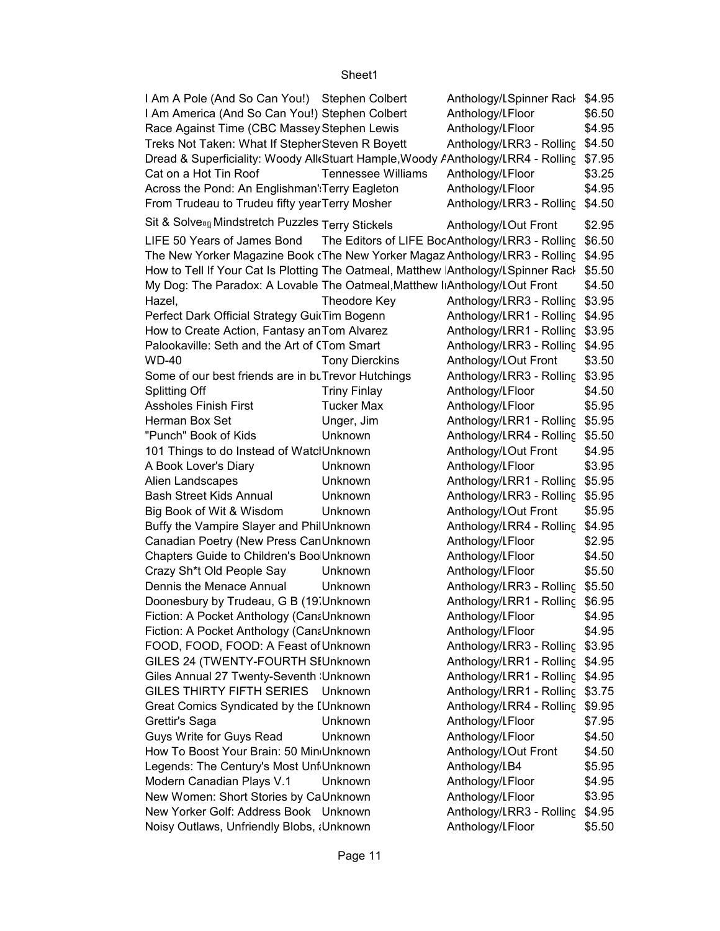| I Am A Pole (And So Can You!) Stephen Colbert                                           |                           | Anthology/LSpinner Rack \$4.95                         |        |
|-----------------------------------------------------------------------------------------|---------------------------|--------------------------------------------------------|--------|
| I Am America (And So Can You!) Stephen Colbert                                          |                           | Anthology/LFloor                                       | \$6.50 |
| Race Against Time (CBC Massey Stephen Lewis                                             |                           | Anthology/LFloor                                       | \$4.95 |
| Treks Not Taken: What If Stepher Steven R Boyett                                        |                           | Anthology/LRR3 - Rolling \$4.50                        |        |
| Dread & Superficiality: Woody All(Stuart Hample, Woody AAnthology/LRR4 - Rolling \$7.95 |                           |                                                        |        |
| Cat on a Hot Tin Roof                                                                   | <b>Tennessee Williams</b> | Anthology/LFloor                                       | \$3.25 |
| Across the Pond: An Englishman' Terry Eagleton                                          |                           | Anthology/LFloor                                       | \$4.95 |
| From Trudeau to Trudeu fifty year Terry Mosher                                          |                           | Anthology/LRR3 - Rolling \$4.50                        |        |
| Sit & Solve®n Mindstretch Puzzles Terry Stickels                                        |                           | Anthology/LOut Front                                   | \$2.95 |
| LIFE 50 Years of James Bond                                                             |                           | The Editors of LIFE BocAnthology/LRR3 - Rolling \$6.50 |        |
| The New Yorker Magazine Book (The New Yorker Magaz Anthology/LRR3 - Rolling \$4.95      |                           |                                                        |        |
| How to Tell If Your Cat Is Plotting The Oatmeal, Matthew Anthology/LSpinner Racl \$5.50 |                           |                                                        |        |
| My Dog: The Paradox: A Lovable The Oatmeal, Matthew I Anthology/LOut Front              |                           |                                                        | \$4.50 |
| Hazel,                                                                                  | Theodore Key              | Anthology/LRR3 - Rolling \$3.95                        |        |
| Perfect Dark Official Strategy GuitTim Bogenn                                           |                           | Anthology/LRR1 - Rolling \$4.95                        |        |
| How to Create Action, Fantasy an Tom Alvarez                                            |                           | Anthology/LRR1 - Rolling \$3.95                        |        |
| Palookaville: Seth and the Art of (Tom Smart                                            |                           | Anthology/LRR3 - Rolling \$4.95                        |        |
| <b>WD-40</b>                                                                            | <b>Tony Dierckins</b>     | Anthology/LOut Front                                   | \$3.50 |
| Some of our best friends are in buTrevor Hutchings                                      |                           | Anthology/LRR3 - Rolling \$3.95                        |        |
| <b>Splitting Off</b>                                                                    | <b>Triny Finlay</b>       | Anthology/LFloor                                       | \$4.50 |
| <b>Assholes Finish First</b>                                                            | <b>Tucker Max</b>         | Anthology/LFloor                                       | \$5.95 |
| Herman Box Set                                                                          | Unger, Jim                | Anthology/LRR1 - Rolling \$5.95                        |        |
| "Punch" Book of Kids                                                                    | Unknown                   | Anthology/LRR4 - Rolling \$5.50                        |        |
| 101 Things to do Instead of WatclUnknown                                                |                           | Anthology/LOut Front                                   | \$4.95 |
| A Book Lover's Diary                                                                    | Unknown                   | Anthology/LFloor                                       | \$3.95 |
| Alien Landscapes                                                                        | Unknown                   | Anthology/LRR1 - Rolling \$5.95                        |        |
| <b>Bash Street Kids Annual</b>                                                          | Unknown                   | Anthology/LRR3 - Rolling \$5.95                        |        |
| Big Book of Wit & Wisdom                                                                | Unknown                   | Anthology/LOut Front                                   | \$5.95 |
| Buffy the Vampire Slayer and PhilUnknown                                                |                           | Anthology/LRR4 - Rolling \$4.95                        |        |
| Canadian Poetry (New Press CanUnknown                                                   |                           | Anthology/LFloor                                       | \$2.95 |
| Chapters Guide to Children's Boo Unknown                                                |                           | Anthology/LFloor                                       | \$4.50 |
| Crazy Sh*t Old People Say                                                               | Unknown                   | Anthology/LFloor                                       | \$5.50 |
| Dennis the Menace Annual                                                                | Unknown                   | Anthology/LRR3 - Rolling \$5.50                        |        |
| Doonesbury by Trudeau, G B (19 Unknown                                                  |                           | Anthology/LRR1 - Rolling \$6.95                        |        |
| Fiction: A Pocket Anthology (CanaUnknown                                                |                           | Anthology/LFloor                                       | \$4.95 |
| Fiction: A Pocket Anthology (CanaUnknown                                                |                           | Anthology/LFloor                                       | \$4.95 |
| FOOD, FOOD, FOOD: A Feast of Unknown                                                    |                           | Anthology/LRR3 - Rolling \$3.95                        |        |
| GILES 24 (TWENTY-FOURTH SIUnknown                                                       |                           | Anthology/LRR1 - Rolling \$4.95                        |        |
| Giles Annual 27 Twenty-Seventh Unknown                                                  |                           | Anthology/LRR1 - Rolling \$4.95                        |        |
| GILES THIRTY FIFTH SERIES Unknown                                                       |                           | Anthology/LRR1 - Rolling \$3.75                        |        |
| Great Comics Syndicated by the IUnknown                                                 |                           | Anthology/LRR4 - Rolling \$9.95                        |        |
| Grettir's Saga                                                                          | Unknown                   | Anthology/LFloor                                       | \$7.95 |
| Guys Write for Guys Read                                                                | Unknown                   | Anthology/LFloor                                       | \$4.50 |
| How To Boost Your Brain: 50 Min Unknown                                                 |                           | Anthology/LOut Front                                   | \$4.50 |
| Legends: The Century's Most Unf Unknown                                                 |                           | Anthology/LB4                                          | \$5.95 |
| Modern Canadian Plays V.1                                                               | Unknown                   | Anthology/LFloor                                       | \$4.95 |
| New Women: Short Stories by CaUnknown                                                   |                           | Anthology/LFloor                                       | \$3.95 |
| New Yorker Golf: Address Book Unknown                                                   |                           | Anthology/LRR3 - Rolling \$4.95                        |        |
| Noisy Outlaws, Unfriendly Blobs, ¿Unknown                                               |                           | Anthology/LFloor                                       | \$5.50 |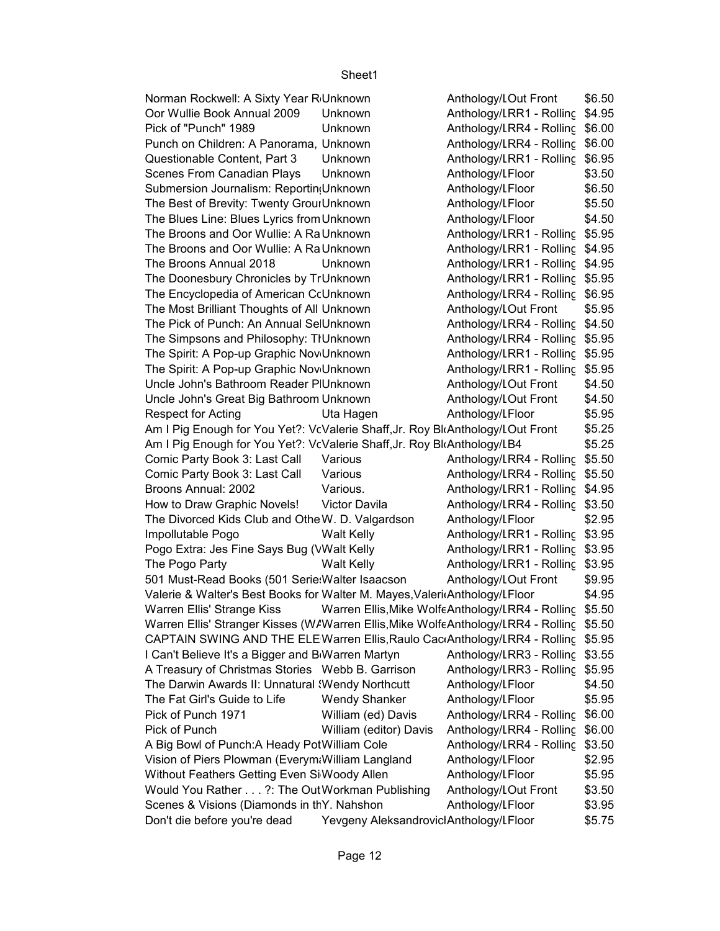\$6.50 \$4.95 Oor Wullie Book Annual 2009 Unknown Anthology/Literature RR1 - Rolling Rack Side 1 Pick of "Punch" 1989 Unknown Anthology/LRR4 - Rolling \$6.00 Anthology/LRR4 - Rolling \$6.00 Questionable Content, Part 3 Unknown Manthology/LRR1 - Rolling \$6.95 \$3.50 \$6.50 \$5.50 \$4.50 Anthology/LRR1 - Rolling \$5.95 Anthology/LRR1 - Rolling \$4.95 The Broons Annual 2018 Unknown Anthology/LRR1 - Rolling \$4.95 Anthology/LRR1 - Rolling \$5.95 Anthology/LRR4 - Rolling \$6.95 \$5.95 Anthology/LRR4 - Rolling \$4.50 Anthology/LRR4 - Rolling \$5.95 Anthology/LRR1 - Rolling \$5.95 Anthology/LRR1 - Rolling \$5.95 \$4.50 \$4.50 \$5.95 \$5.25 \$5.25 Comic Party Book 3: Last Call Various **Anthology/LRR4 - Rolling \$5.50** Comic Party Book 3: Last Call Various **Anthology/LRR4 - Rolling \$5.50** \$4.95 Broons Annual: 2002 Various. Anthology/Literature RR1 - Rolling Rack Side 1 How to Draw Graphic Novels! Victor Davila Anthology/LRR4 - Rolling \$3.50 \$2.95 Impollutable Pogo Walt Kelly Anthology/LRR1 - Rolling \$3.95 Anthology/LRR1 - Rolling \$3.95 The Pogo Party **Anthology/LITER 12 - The Pogo Party Anthology/LRR1** - Rolling \$3.95 \$9.95 \$4.95 Warren Ellis' Strange Kiss Warren Ellis,Mike WolfeAnthology/LRR4 - Rolling \$5.50 Warren Ellis' Stranger Kisses (W/Warren Ellis,Mike WolfeAnthology/LRR4 - Rolling \$5.50 CAPTAIN SWING AND THE ELEWarren Ellis,Raulo CacıAnthology/LRR4 - Rolling \$5.95 Anthology/LRR3 - Rolling \$3.55 Anthology/LRR3 - Rolling \$5.95 \$4.50 \$5.95 Pick of Punch 1971 **William (ed) Davis** Anthology/LRR4 - Rolling \$6.00 Pick of Punch **Nilliam (editor) Davis** Anthology/LRR4 - Rolling \$6.00 Anthology/LRR4 - Rolling \$3.50 \$2.95 \$5.95 \$3.50 \$3.95 \$5.75 Norman Rockwell: A Sixty Year R Unknown Anthology/LOut Front Punch on Children: A Panorama, Unknown Scenes From Canadian Plays Unknown **Anthology/Literation** Submersion Journalism: Reporting Unknown Figure Radical Anthology/Literature Person from Anthology/Literature F The Best of Brevity: Twenty GrounDnknown The Best of Brevity: Twenty Groundhandown Anthology/Literature Floor The Blues Line: Blues Lyrics from Unknown Muddy Anthology/LFloor The Broons and Oor Wullie: A Ra Unknown The Broons and Oor Wullie: A Ra Unknown The Doonesbury Chronicles by TrUnknown The Encyclopedia of American CoUnknown The Most Brilliant Thoughts of All Unknown **Example 20 Anthology/LOut Front** The Pick of Punch: An Annual SelUnknown The Simpsons and Philosophy: TIUnknown The Spirit: A Pop-up Graphic Nov Unknown The Spirit: A Pop-up Graphic Nov Unknown Uncle John's Bathroom Reader PlUnknown **Anthology/LOut Front** Uncle John's Great Big Bathroom Unknown **Anthology/LOut Front** Respect for Acting **Contact Uta Hagen** Anthology/LFloor Am I Pig Enough for You Yet?: VcValerie Shaff, Jr. Roy BloAnthology/LOut Front Am I Pig Enough for You Yet?: VcValerie Shaff, Jr. Roy BloAnthology/LB4 The Divorced Kids Club and Othe W. D. Valgardson Anthology/LFloor Pogo Extra: Jes Fine Says Bug (VWalt Kelly 501 Must-Read Books (501 Serie: Walter Isaacson Anthology/LOut Front Valerie & Walter's Best Books for Walter M. Mayes, ValeritAnthology/LFloor I Can't Believe It's a Bigger and B<sub>Warren</sub> Martyn A Treasury of Christmas Stories Webb B. Garrison The Darwin Awards II: Unnatural Wendy Northcutt Anthology/LFloor The Fat Girl's Guide to Life Wendy Shanker Anthology/LFloor A Big Bowl of Punch:A Heady PotWilliam Cole Vision of Piers Plowman (Everym: William Langland Anthology/LFloor Without Feathers Getting Even Si Woody Allen **Anthology/LFloor** Would You Rather . . . ?: The Out Workman Publishing Anthology/LOut Front Scenes & Visions (Diamonds in thY. Nahshon Anthology/Literature Floor Don't die before you're dead Yevgeny Aleksandrovicl Anthology/LFloor